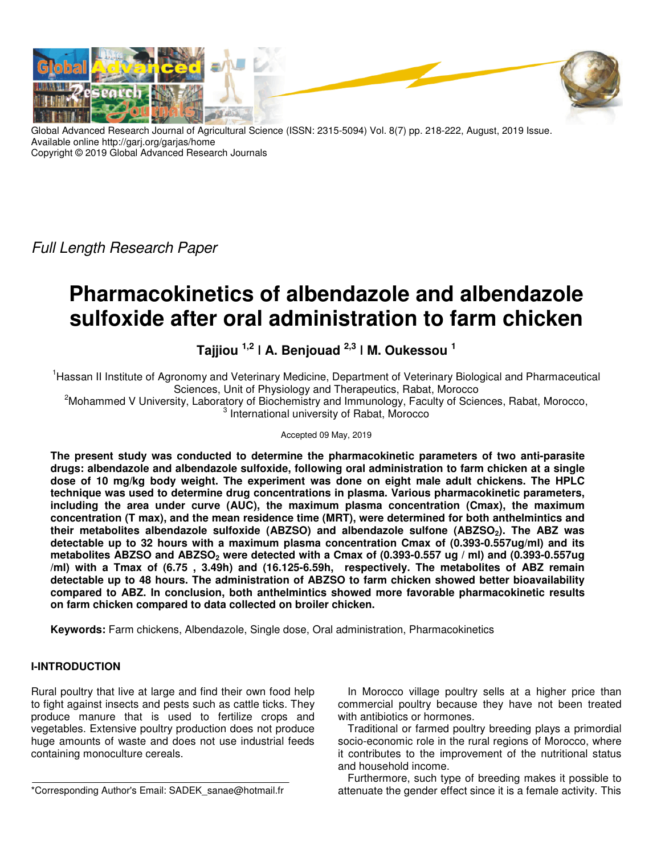

Global Advanced Research Journal of Agricultural Science (ISSN: 2315-5094) Vol. 8(7) pp. 218-222, August, 2019 Issue. Available online http://garj.org/garjas/home Copyright © 2019 Global Advanced Research Journals

Full Length Research Paper

# **Pharmacokinetics of albendazole and albendazole sulfoxide after oral administration to farm chicken**

# **Tajjiou 1,2 ǀ A. Benjouad 2,3 ǀ M. Oukessou <sup>1</sup>**

<sup>1</sup>Hassan II Institute of Agronomy and Veterinary Medicine, Department of Veterinary Biological and Pharmaceutical Sciences, Unit of Physiology and Therapeutics, Rabat, Morocco

<sup>2</sup>Mohammed V University, Laboratory of Biochemistry and Immunology, Faculty of Sciences, Rabat, Morocco, 3 International university of Rabat, Morocco

Accepted 09 May, 2019

**The present study was conducted to determine the pharmacokinetic parameters of two anti-parasite drugs: albendazole and albendazole sulfoxide, following oral administration to farm chicken at a single dose of 10 mg/kg body weight. The experiment was done on eight male adult chickens. The HPLC technique was used to determine drug concentrations in plasma. Various pharmacokinetic parameters, including the area under curve (AUC), the maximum plasma concentration (Cmax), the maximum concentration (T max), and the mean residence time (MRT), were determined for both anthelmintics and their metabolites albendazole sulfoxide (ABZSO) and albendazole sulfone (ABZSO2). The ABZ was detectable up to 32 hours with a maximum plasma concentration Cmax of (0.393-0.557ug/ml) and its metabolites ABZSO and ABZSO2 were detected with a Cmax of (0.393-0.557 ug / ml) and (0.393-0.557ug /ml) with a Tmax of (6.75 , 3.49h) and (16.125-6.59h, respectively. The metabolites of ABZ remain detectable up to 48 hours. The administration of ABZSO to farm chicken showed better bioavailability compared to ABZ. In conclusion, both anthelmintics showed more favorable pharmacokinetic results on farm chicken compared to data collected on broiler chicken.** 

**Keywords:** Farm chickens, Albendazole, Single dose, Oral administration, Pharmacokinetics

# **I-INTRODUCTION**

Rural poultry that live at large and find their own food help to fight against insects and pests such as cattle ticks. They produce manure that is used to fertilize crops and vegetables. Extensive poultry production does not produce huge amounts of waste and does not use industrial feeds containing monoculture cereals.

\*Corresponding Author's Email: SADEK\_sanae@hotmail.fr

In Morocco village poultry sells at a higher price than commercial poultry because they have not been treated with antibiotics or hormones.

Traditional or farmed poultry breeding plays a primordial socio-economic role in the rural regions of Morocco, where it contributes to the improvement of the nutritional status and household income.

Furthermore, such type of breeding makes it possible to attenuate the gender effect since it is a female activity. This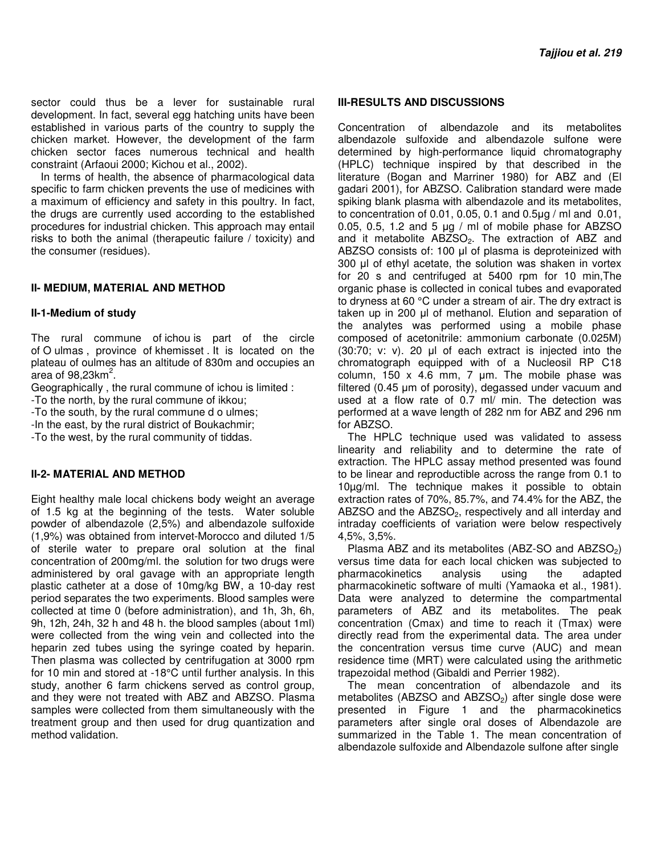sector could thus be a lever for sustainable rural development. In fact, several egg hatching units have been established in various parts of the country to supply the chicken market. However, the development of the farm chicken sector faces numerous technical and health constraint (Arfaoui 2000; Kichou et al., 2002).

In terms of health, the absence of pharmacological data specific to farm chicken prevents the use of medicines with a maximum of efficiency and safety in this poultry. In fact, the drugs are currently used according to the established procedures for industrial chicken. This approach may entail risks to both the animal (therapeutic failure / toxicity) and the consumer (residues).

# **II- MEDIUM, MATERIAL AND METHOD**

### **II-1-Medium of study**

The rural commune of ichou is part of the circle of O ulmas , province of khemisset . It is located on the plateau of oulmes has an altitude of 830m and occupies an  $\alpha$ rea of 98,23km $^2$ .

Geographically , the rural commune of ichou is limited :

-To the north, by the rural commune of ikkou;

-To the south, by the rural commune d o ulmes;

-In the east, by the rural district of Boukachmir;

-To the west, by the rural community of tiddas.

# **II-2- MATERIAL AND METHOD**

Eight healthy male local chickens body weight an average of 1.5 kg at the beginning of the tests. Water soluble powder of albendazole (2,5%) and albendazole sulfoxide (1,9%) was obtained from intervet-Morocco and diluted 1/5 of sterile water to prepare oral solution at the final concentration of 200mg/ml. the solution for two drugs were administered by oral gavage with an appropriate length plastic catheter at a dose of 10mg/kg BW, a 10-day rest period separates the two experiments. Blood samples were collected at time 0 (before administration), and 1h, 3h, 6h, 9h, 12h, 24h, 32 h and 48 h. the blood samples (about 1ml) were collected from the wing vein and collected into the heparin zed tubes using the syringe coated by heparin. Then plasma was collected by centrifugation at 3000 rpm for 10 min and stored at -18°C until further analysis. In this study, another 6 farm chickens served as control group, and they were not treated with ABZ and ABZSO. Plasma samples were collected from them simultaneously with the treatment group and then used for drug quantization and method validation.

#### **III-RESULTS AND DISCUSSIONS**

Concentration of albendazole and its metabolites albendazole sulfoxide and albendazole sulfone were determined by high-performance liquid chromatography (HPLC) technique inspired by that described in the literature (Bogan and Marriner 1980) for ABZ and (El gadari 2001), for ABZSO. Calibration standard were made spiking blank plasma with albendazole and its metabolites, to concentration of 0.01, 0.05, 0.1 and 0.5µg / ml and 0.01, 0.05, 0.5, 1.2 and 5  $\mu$ g / ml of mobile phase for ABZSO and it metabolite ABZSO<sub>2</sub>. The extraction of ABZ and ABZSO consists of: 100 µl of plasma is deproteinized with 300 µl of ethyl acetate, the solution was shaken in vortex for 20 s and centrifuged at 5400 rpm for 10 min,The organic phase is collected in conical tubes and evaporated to dryness at 60 °C under a stream of air. The dry extract is taken up in 200 µl of methanol. Elution and separation of the analytes was performed using a mobile phase composed of acetonitrile: ammonium carbonate (0.025M) (30:70; v: v). 20 µl of each extract is injected into the chromatograph equipped with of a Nucleosil RP C18 column,  $150 \times 4.6$  mm, 7 µm. The mobile phase was filtered (0.45 µm of porosity), degassed under vacuum and used at a flow rate of 0.7 ml/ min. The detection was performed at a wave length of 282 nm for ABZ and 296 nm for ABZSO.

The HPLC technique used was validated to assess linearity and reliability and to determine the rate of extraction. The HPLC assay method presented was found to be linear and reproductible across the range from 0.1 to 10µg/ml. The technique makes it possible to obtain extraction rates of 70%, 85.7%, and 74.4% for the ABZ, the ABZSO and the ABZSO<sub>2</sub>, respectively and all interday and intraday coefficients of variation were below respectively 4,5%, 3,5%.

Plasma ABZ and its metabolites (ABZ-SO and ABZSO $_2$ ) versus time data for each local chicken was subjected to pharmacokinetics analysis using the adapted pharmacokinetic software of multi (Yamaoka et al., 1981). Data were analyzed to determine the compartmental parameters of ABZ and its metabolites. The peak concentration (Cmax) and time to reach it (Tmax) were directly read from the experimental data. The area under the concentration versus time curve (AUC) and mean residence time (MRT) were calculated using the arithmetic trapezoidal method (Gibaldi and Perrier 1982).

The mean concentration of albendazole and its metabolites (ABZSO and ABZSO<sub>2</sub>) after single dose were presented in Figure 1 and the pharmacokinetics parameters after single oral doses of Albendazole are summarized in the Table 1. The mean concentration of albendazole sulfoxide and Albendazole sulfone after single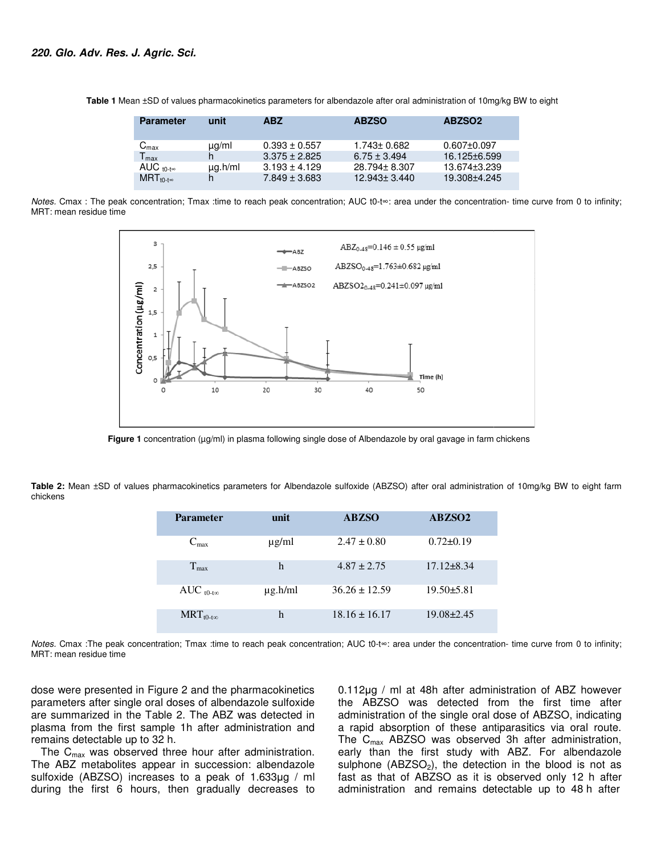| <b>Parameter</b>            | unit         | <b>ABZ</b>        | <b>ABZSO</b>       | ABZSO <sub>2</sub> |
|-----------------------------|--------------|-------------------|--------------------|--------------------|
|                             |              |                   |                    |                    |
| $\mathsf{C}_{\mathsf{max}}$ | $\mu$ g/ml   | $0.393 \pm 0.557$ | $1.743 \pm 0.682$  | $0.607 \pm 0.097$  |
| $T_{\text{max}}$            | h.           | $3.375 \pm 2.825$ | $6.75 \pm 3.494$   | 16.125±6.599       |
| AUC $_{10-t\infty}$         | $\mu q.h/ml$ | $3.193 \pm 4.129$ | 28.794 ± 8.307     | 13.674±3.239       |
| $MRT_{t0-t\infty}$          | h            | $7.849 \pm 3.683$ | $12.943 \pm 3.440$ | 19.308±4.245       |
|                             |              |                   |                    |                    |

 **Table 1** Mean ±SD of values pharmacokinetics parameters for albendazole after oral administration of 10mg/kg BW to eight

Notes. Cmax : The peak concentration; Tmax :time to reach peak concentration; AUC t0-t∞: area under the concentration- time curve from 0 to infinity; MRT: mean residue time



**Figure 1** concentration (μg/ml) in plasma following single dose of Albendazole by oral gavage in farm chickens

Figure 1 concentration (µg/ml) in plasma following single dose of Albendazole by oral gavage in farm chickens<br>Table 2: Mean ±SD of values pharmacokinetics parameters for Albendazole sulfoxide (ABZSO) after oral administrat chickens

|                     |              | narmacokinetics parameters for Albendazole sulfoxide (ABZSO) after oral administration of 10mg/kg BW     |                  |
|---------------------|--------------|----------------------------------------------------------------------------------------------------------|------------------|
| <b>Parameter</b>    | unit         | <b>ABZSO</b>                                                                                             | ABZSO2           |
| $C_{\text{max}}$    | $\mu$ g/ml   | $2.47 \pm 0.80$                                                                                          | $0.72 \pm 0.19$  |
| $T_{max}$           | h            | $4.87 \pm 2.75$                                                                                          | $17.12 \pm 8.34$ |
| AUC $_{t0-t\infty}$ | $\mu$ g.h/ml | $36.26 \pm 12.59$                                                                                        | $19.50 \pm 5.81$ |
| $MRT_{t0-t\infty}$  | h            | $18.16 \pm 16.17$                                                                                        | $19.08 \pm 2.45$ |
|                     |              | ration: Tmax :time to reach peak concentration: AUC t0-t∞: area under the concentration- time curve fron |                  |

Notes. Cmax :The peak concentration; Tmax :time to reach peak concentration; AUC t0-t<sup>®</sup>: area under the concentration- time curve from 0 to infinity; MRT: mean residue time

dose were presented in Figure 2 and the pharmacokinetics parameters after single oral doses of albendazole sulfoxide are summarized in the Table 2. The ABZ was detected in plasma from the first sample 1h after administration and remains detectable up to 32 h. . The ABZ was detected in<br>Th after administration and<br>the hour after administration.<br>In succession: albendazole

The  $C_{\text{max}}$  was observed three hour after administration. The ABZ metabolites appear in succession: sulfoxide (ABZSO) increases to a peak of 1.633 $\mu$ g / ml during the first 6 hours, then gradually decreases to

ted in Figure 2 and the pharmacokinetics 0.112 $\mu$ g / ml at 48h after administration of ABZ however<br>single oral doses of albendazole sulfoxide the ABZSO was detected from the first time after<br>n the Table 2. The ABZ was de the ABZSO was detected from the first time after administration of the single oral dose of ABZSO, indicating a rapid absorption of these antiparasitics via oral route. The  $C_{\text{max}}$  ABZSO was observed 3h after administration, early than the first study with ABZ. For albendazole sulphone ( $ABZSO<sub>2</sub>$ ), the detection in the blood is not as fast as that of ABZSO as it is observed only 12 h after administration and remains detectable up to 48 h after 0.112µg / ml at 48h after administration of ABZ however<br>the ABZSO was detected from the first time after<br>administration of the single oral dose of ABZSO, indicating<br>a rapid absorption of these antiparasitics via oral rout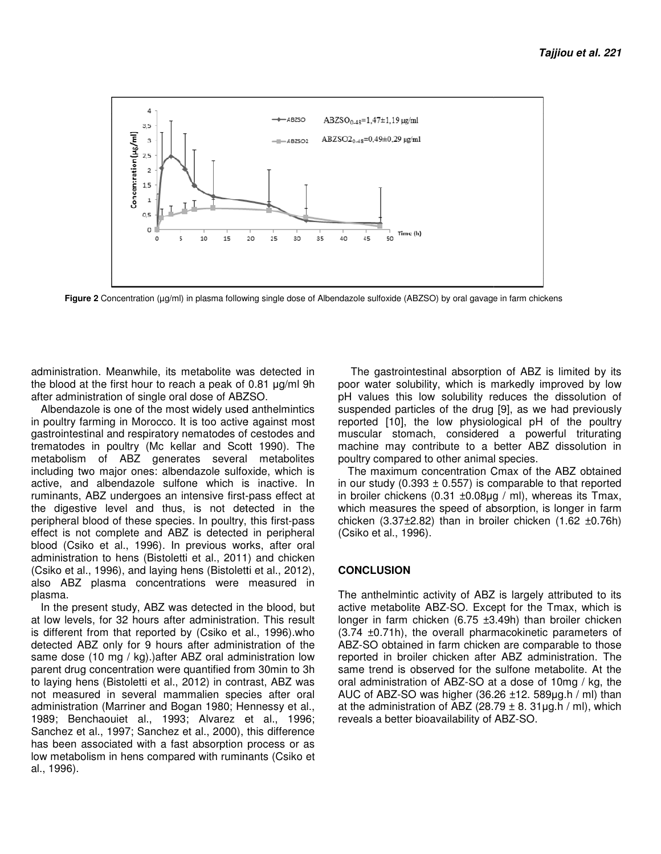

**Figure 2** Concentration (μg/ml) in plasma following single dose of Albendazole sulfoxide (ABZSO) by oral gavage in farm chickens

administration. Meanwhile, its metabolite was detected in administration. Meanwhile, its metabolite was detected in<br>the blood at the first hour to reach a peak of 0.81 µg/ml 9h after administration of single oral dose of ABZSO.

Albendazole is one of the most widely used anthelmintics in poultry farming in Morocco. It is too active against most gastrointestinal and respiratory nematodes of cestodes and trematodes in poultry (Mc kellar and Scott 1990). The metabolism of ABZ generates several metabolites including two major ones: albendazole sulfoxide, which is active, and albendazole sulfone which is inactive. In including two major ones: albendazole sulfoxide, which is<br>active, and albendazole sulfone which is inactive. In<br>ruminants, ABZ undergoes an intensive first-pass effect at the digestive level and thus, is not detected in the<br>peripheral blood of these species. In poultry, this first-pass peripheral blood of these species. In poultry, this first effect is not complete and ABZ is detected in peripheral blood (Csiko et al., 1996). In previous works, after oral administration to hens (Bistoletti et al., 2011) (Csiko et al., 1996), and laying hens (Bistoletti et al., 2012), also ABZ plasma concentrations were measured in plasma. single oral dose of ABZSO.<br>of the most widely used anthelmintics<br>Morocco. It is too active against most<br>spiratory nematodes of cestodes and<br>y (Mc kellar and Scott 1990). The ABZ is detected in peripheral<br>In previous works, after oral<br>bletti et al., 2011) and chicken

In the present study, ABZ was detected in the blood, but at low levels, for 32 hours after administration. This result also ABZ plasma concentrations were measured in plasma.<br>In the present study, ABZ was detected in the blood, but<br>at low levels, for 32 hours after administration. This result<br>is different from that reported by (Csiko et al detected ABZ only for 9 hours after administration of the same dose (10 mg / kg).)after ABZ oral administration low parent drug concentration were quantified from 30min to 3h to laying hens (Bistoletti et al., 2012) in contrast, ABZ was not measured in several mammalien species after oral administration (Marriner and Bogan 1980; Hennessy et al., 1989; Benchaouiet al., 1993; Alvarez et al., 1996 Sanchez et al., 1997; Sanchez et al., 2000), this difference has been associated with a fast absorption process or as low metabolism in hens compared with ruminants (Csiko et al., 1996). Z only for 9 hours after administration of the<br>10 mg / kg).)after ABZ oral administration low<br>oncentration were quantified from 30min to 3h<br>s (Bistoletti et al., 2012) in contrast, ABZ was<br>d in several mammalien species af

The gastrointestinal absorption of ABZ is limited by its poor water solubility, which is markedly improved by low pH values this low solubility reduces the dissolution of suspended particles of the drug [9], as we had previously reported [10], the low physiological pH of the poultry muscular stomach, considered a powerful triturating machine may contribute to a better ABZ dissolution in poultry compared to other animal speci The gastrointestinal absorption of ABZ is limited by<br>oor water solubility, which is markedly improved by le<br>H values this low solubility reduces the dissolution<br>uspended particles of the drug [9], as we had previou:<br>eporte

The maximum concentration Cmax of the ABZ obtained The maximum concentration Cmax of the ABZ obtained in our study  $(0.393 \pm 0.557)$  is comparable to that reported in broiler chickens (0.31  $\pm$ 0.08µg / ml), whereas its Tmax, which measures the speed of absorption, is longer in farm chicken (3.37±2.82) than in broiler chicken (1.62 ±0.76h) (Csiko et al., 1996). which measures the speed of absorption, is longer in farm<br>chicken (3.37±2.82) than in broiler chicken (1.62 ±0.76h)<br>(Csiko et al., 1996).<br>**CONCLUSION**<br>The anthelmintic activity of ABZ is largely attributed to its<br>active me

# **CONCLUSION**

The anthelmintic activity of ABZ is largely attributed to its active metabolite ABZ-SO. Except for the Tmax longer in farm chicken (6.75 ±3.49h) than broiler chicken (3.74 ±0.71h), the overall pharmacokinetic parameters of ABZ-SO obtained in farm chicken are comparable to those reported in broiler chicken after ABZ administration. The same trend is observed for the sulfone metabolite. At the oral administration of ABZ-SO at a dose of 10mg / kg, the AUC of ABZ-SO was higher (36.26  $\pm$ 12. 589 $\mu$ g.h / ml) than at the administration of ABZ (28.79  $\pm$  8. 31 µg.h / ml), which reveals a better bioavailability of ABZ-SO. er in farm chicken (6.75  $\pm$ 3.49h) than broiler chicken  $\pm$ 0.71h), the overall pharmacokinetic parameters of SO obtained in farm chicken are comparable to those ted in broiler chicken after ABZ administration. The tend